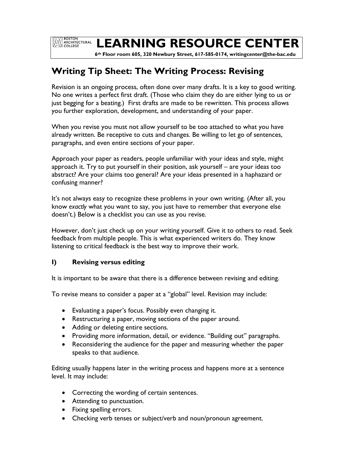**EXAMPLE BOSTON<br>ARCHITECTURAL**<br>COLLEGE

# **LEARNING RESOURCE CENTER**

 **6th Floor room 605, 320 Newbury Street, 617-585-0174, writingcenter@the-bac.edu**

# **Writing Tip Sheet: The Writing Process: Revising**

Revision is an ongoing process, often done over many drafts. It is a key to good writing. No one writes a perfect first draft. (Those who claim they do are either lying to us or just begging for a beating.) First drafts are made to be rewritten. This process allows you further exploration, development, and understanding of your paper.

When you revise you must not allow yourself to be too attached to what you have already written. Be receptive to cuts and changes. Be willing to let go of sentences, paragraphs, and even entire sections of your paper.

Approach your paper as readers, people unfamiliar with your ideas and style, might approach it. Try to put yourself in their position, ask yourself – are your ideas too abstract? Are your claims too general? Are your ideas presented in a haphazard or confusing manner?

It's not always easy to recognize these problems in your own writing. (After all, you know *exactly* what you want to say, you just have to remember that everyone else doesn't.) Below is a checklist you can use as you revise.

However, don't just check up on your writing yourself. Give it to others to read. Seek feedback from multiple people. This is what experienced writers do. They know listening to critical feedback is the best way to improve their work.

### **I) Revising versus editing**

It is important to be aware that there is a difference between revising and editing.

To revise means to consider a paper at a "global" level. Revision may include:

- Evaluating a paper's focus. Possibly even changing it.
- Restructuring a paper, moving sections of the paper around.
- Adding or deleting entire sections.
- Providing more information, detail, or evidence. "Building out" paragraphs.
- Reconsidering the audience for the paper and measuring whether the paper speaks to that audience.

Editing usually happens later in the writing process and happens more at a sentence level. It may include:

- Correcting the wording of certain sentences.
- Attending to punctuation.
- Fixing spelling errors.
- Checking verb tenses or subject/verb and noun/pronoun agreement.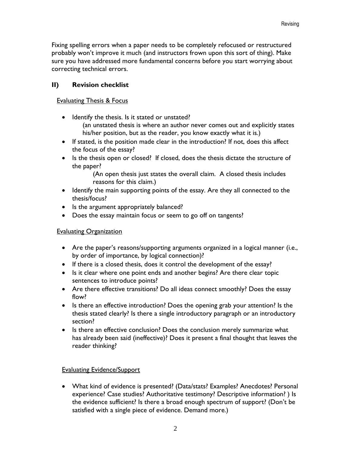Fixing spelling errors when a paper needs to be completely refocused or restructured probably won't improve it much (and instructors frown upon this sort of thing). Make sure you have addressed more fundamental concerns before you start worrying about correcting technical errors.

## **II) Revision checklist**

#### Evaluating Thesis & Focus

- Identify the thesis. Is it stated or unstated?
	- (an unstated thesis is where an author never comes out and explicitly states his/her position, but as the reader, you know exactly what it is.)
- If stated, is the position made clear in the introduction? If not, does this affect the focus of the essay?
- Is the thesis open or closed? If closed, does the thesis dictate the structure of the paper?

(An open thesis just states the overall claim. A closed thesis includes reasons for this claim.)

- Identify the main supporting points of the essay. Are they all connected to the thesis/focus?
- Is the argument appropriately balanced?
- Does the essay maintain focus or seem to go off on tangents?

### Evaluating Organization

- Are the paper's reasons/supporting arguments organized in a logical manner (i.e., by order of importance, by logical connection)?
- If there is a closed thesis, does it control the development of the essay?
- Is it clear where one point ends and another begins? Are there clear topic sentences to introduce points?
- Are there effective transitions? Do all ideas connect smoothly? Does the essay flow?
- Is there an effective introduction? Does the opening grab your attention? Is the thesis stated clearly? Is there a single introductory paragraph or an introductory section?
- Is there an effective conclusion? Does the conclusion merely summarize what has already been said (ineffective)? Does it present a final thought that leaves the reader thinking?

### Evaluating Evidence/Support

 What kind of evidence is presented? (Data/stats? Examples? Anecdotes? Personal experience? Case studies? Authoritative testimony? Descriptive information? ) Is the evidence sufficient? Is there a broad enough spectrum of support? (Don't be satisfied with a single piece of evidence. Demand more.)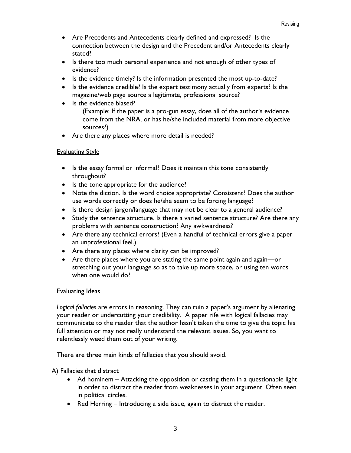- Are Precedents and Antecedents clearly defined and expressed? Is the connection between the design and the Precedent and/or Antecedents clearly stated?
- Is there too much personal experience and not enough of other types of evidence?
- Is the evidence timely? Is the information presented the most up-to-date?
- Is the evidence credible? Is the expert testimony actually from experts? Is the magazine/web page source a legitimate, professional source?
- Is the evidence biased?
	- (Example: If the paper is a pro-gun essay, does all of the author's evidence come from the NRA, or has he/she included material from more objective sources?)
- Are there any places where more detail is needed?

### **Evaluating Style**

- Is the essay formal or informal? Does it maintain this tone consistently throughout?
- Is the tone appropriate for the audience?
- Note the diction. Is the word choice appropriate? Consistent? Does the author use words correctly or does he/she seem to be forcing language?
- Is there design jargon/language that may not be clear to a general audience?
- Study the sentence structure. Is there a varied sentence structure? Are there any problems with sentence construction? Any awkwardness?
- Are there any technical errors? (Even a handful of technical errors give a paper an unprofessional feel.)
- Are there any places where clarity can be improved?
- Are there places where you are stating the same point again and again—or stretching out your language so as to take up more space, or using ten words when one would do?

### **Evaluating Ideas**

*Logical fallacies* are errors in reasoning. They can ruin a paper's argument by alienating your reader or undercutting your credibility. A paper rife with logical fallacies may communicate to the reader that the author hasn't taken the time to give the topic his full attention or may not really understand the relevant issues. So, you want to relentlessly weed them out of your writing.

There are three main kinds of fallacies that you should avoid.

A) Fallacies that distract

- Ad hominem Attacking the opposition or casting them in a questionable light in order to distract the reader from weaknesses in your argument. Often seen in political circles.
- Red Herring Introducing a side issue, again to distract the reader.